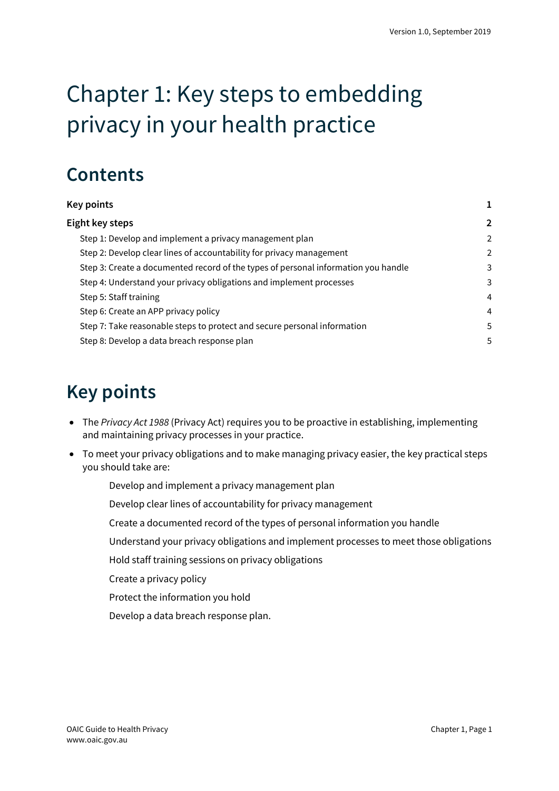# Chapter 1: Key steps to embedding privacy in your health practice

### **Contents**

| <b>Key points</b>                                                                  |                |
|------------------------------------------------------------------------------------|----------------|
| Eight key steps                                                                    | $\overline{2}$ |
| Step 1: Develop and implement a privacy management plan                            | $\mathcal{P}$  |
| Step 2: Develop clear lines of accountability for privacy management               | $\overline{2}$ |
| Step 3: Create a documented record of the types of personal information you handle | 3              |
| Step 4: Understand your privacy obligations and implement processes                | 3              |
| Step 5: Staff training                                                             | $\overline{4}$ |
| Step 6: Create an APP privacy policy                                               | $\overline{4}$ |
| Step 7: Take reasonable steps to protect and secure personal information           | 5              |
| Step 8: Develop a data breach response plan                                        | 5              |

## <span id="page-0-0"></span>**Key points**

- The *Privacy Act 1988* (Privacy Act) requires you to be proactive in establishing, implementing and maintaining privacy processes in your practice.
- <span id="page-0-1"></span>• To meet your privacy obligations and to make managing privacy easier, the key practical steps you should take are:
	- Develop and implement a privacy management plan
	- Develop clear lines of accountability for privacy management
	- Create a documented record of the types of personal information you handle
	- Understand your privacy obligations and implement processes to meet those obligations
	- Hold staff training sessions on privacy obligations
	- Create a privacy policy
	- Protect the information you hold
	- Develop a data breach response plan.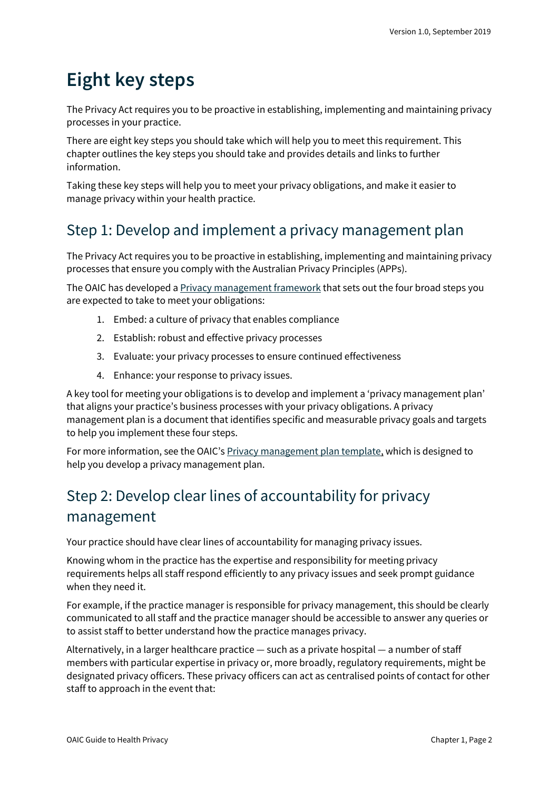### **Eight key steps**

The Privacy Act requires you to be proactive in establishing, implementing and maintaining privacy processes in your practice.

There are eight key steps you should take which will help you to meet this requirement. This chapter outlines the key steps you should take and provides details and links to further information.

Taking these key steps will help you to meet your privacy obligations, and make it easier to manage privacy within your health practice.

#### <span id="page-1-0"></span>Step 1: Develop and implement a privacy management plan

The Privacy Act requires you to be proactive in establishing, implementing and maintaining privacy processes that ensure you comply with the Australian Privacy Principles (APPs).

The OAIC has developed a [Privacy management framework](https://oaic.gov.au/privacy/guidance-and-advice/privacy-management-framework-enabling-compliance-and-encouraging-good-practice/) that sets out the four broad steps you are expected to take to meet your obligations:

- 1. Embed: a culture of privacy that enables compliance
- 2. Establish: robust and effective privacy processes
- 3. Evaluate: your privacy processes to ensure continued effectiveness
- 4. Enhance: your response to privacy issues.

A key tool for meeting your obligations is to develop and implement a 'privacy management plan' that aligns your practice's business processes with your privacy obligations. A privacy management plan is a document that identifies specific and measurable privacy goals and targets to help you implement these four steps.

For more information, see the OAIC'[s Privacy management plan template,](https://oaic.gov.au/privacy/guidance-and-advice/privacy-management-plan-template-for-organisations/) which is designed to help you develop a privacy management plan.

#### <span id="page-1-1"></span>Step 2: Develop clear lines of accountability for privacy management

Your practice should have clear lines of accountability for managing privacy issues.

Knowing whom in the practice has the expertise and responsibility for meeting privacy requirements helps all staff respond efficiently to any privacy issues and seek prompt guidance when they need it.

For example, if the practice manager is responsible for privacy management, this should be clearly communicated to all staff and the practice manager should be accessible to answer any queries or to assist staff to better understand how the practice manages privacy.

Alternatively, in a larger healthcare practice — such as a private hospital — a number of staff members with particular expertise in privacy or, more broadly, regulatory requirements, might be designated privacy officers. These privacy officers can act as centralised points of contact for other staff to approach in the event that: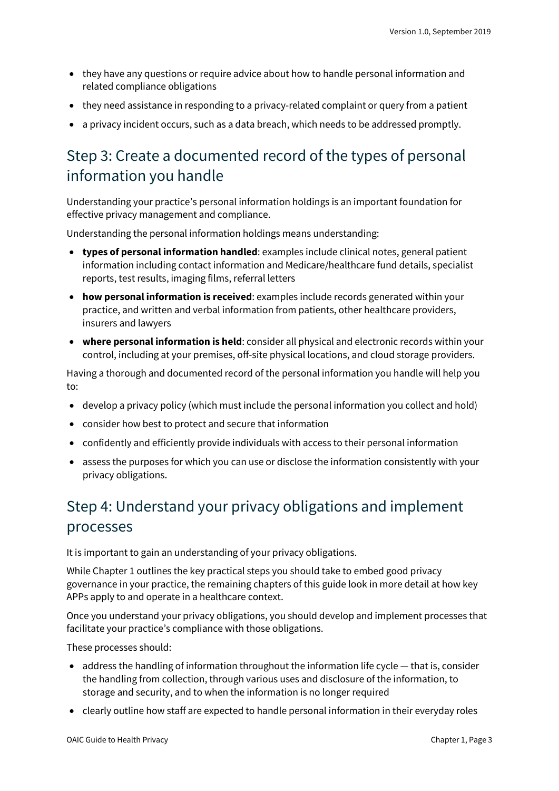- they have any questions or require advice about how to handle personal information and related compliance obligations
- they need assistance in responding to a privacy-related complaint or query from a patient
- a privacy incident occurs, such as a data breach, which needs to be addressed promptly.

#### <span id="page-2-0"></span>Step 3: Create a documented record of the types of personal information you handle

Understanding your practice's personal information holdings is an important foundation for effective privacy management and compliance.

Understanding the personal information holdings means understanding:

- **types of personal information handled**: examples include clinical notes, general patient information including contact information and Medicare/healthcare fund details, specialist reports, test results, imaging films, referral letters
- **how personal information is received**: examples include records generated within your practice, and written and verbal information from patients, other healthcare providers, insurers and lawyers
- **where personal information is held**: consider all physical and electronic records within your control, including at your premises, off-site physical locations, and cloud storage providers.

Having a thorough and documented record of the personal information you handle will help you to:

- develop a privacy policy (which must include the personal information you collect and hold)
- consider how best to protect and secure that information
- confidently and efficiently provide individuals with access to their personal information
- assess the purposes for which you can use or disclose the information consistently with your privacy obligations.

#### <span id="page-2-1"></span>Step 4: Understand your privacy obligations and implement processes

It is important to gain an understanding of your privacy obligations.

While Chapter 1 outlines the key practical steps you should take to embed good privacy governance in your practice, the remaining chapters of this guide look in more detail at how key APPs apply to and operate in a healthcare context.

Once you understand your privacy obligations, you should develop and implement processes that facilitate your practice's compliance with those obligations.

These processes should:

- address the handling of information throughout the information life cycle that is, consider the handling from collection, through various uses and disclosure of the information, to storage and security, and to when the information is no longer required
- clearly outline how staff are expected to handle personal information in their everyday roles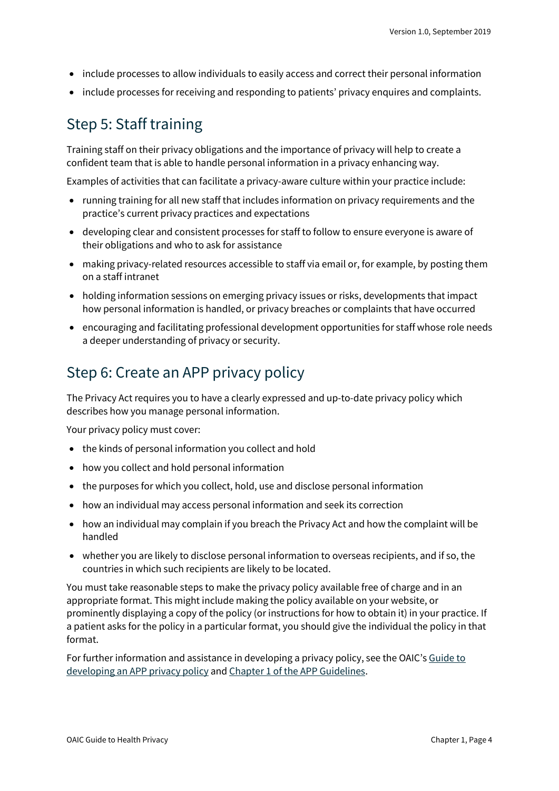- include processes to allow individuals to easily access and correct their personal information
- include processes for receiving and responding to patients' privacy enquires and complaints.

#### <span id="page-3-0"></span>Step 5: Staff training

Training staff on their privacy obligations and the importance of privacy will help to create a confident team that is able to handle personal information in a privacy enhancing way.

Examples of activities that can facilitate a privacy-aware culture within your practice include:

- running training for all new staff that includes information on privacy requirements and the practice's current privacy practices and expectations
- developing clear and consistent processes for staff to follow to ensure everyone is aware of their obligations and who to ask for assistance
- making privacy-related resources accessible to staff via email or, for example, by posting them on a staff intranet
- holding information sessions on emerging privacy issues or risks, developments that impact how personal information is handled, or privacy breaches or complaints that have occurred
- encouraging and facilitating professional development opportunities for staff whose role needs a deeper understanding of privacy or security.

#### <span id="page-3-1"></span>Step 6: Create an APP privacy policy

The Privacy Act requires you to have a clearly expressed and up-to-date privacy policy which describes how you manage personal information.

Your privacy policy must cover:

- the kinds of personal information you collect and hold
- how you collect and hold personal information
- the purposes for which you collect, hold, use and disclose personal information
- how an individual may access personal information and seek its correction
- how an individual may complain if you breach the Privacy Act and how the complaint will be handled
- whether you are likely to disclose personal information to overseas recipients, and if so, the countries in which such recipients are likely to be located.

You must take reasonable steps to make the privacy policy available free of charge and in an appropriate format. This might include making the policy available on your website, or prominently displaying a copy of the policy (or instructions for how to obtain it) in your practice. If a patient asks for the policy in a particular format, you should give the individual the policy in that format.

For further information and assistance in developing a privacy policy, see the OAIC's [Guide to](https://oaic.gov.au/privacy/guidance-and-advice/guide-to-developing-an-app-privacy-policy/)  [developing an APP privacy policy](https://oaic.gov.au/privacy/guidance-and-advice/guide-to-developing-an-app-privacy-policy/) an[d Chapter 1 of the APP Guidelines.](https://oaic.gov.au/privacy/australian-privacy-principles-guidelines/chapter-1-app-1-open-and-transparent-management-of-personal-information/#developing-an-app-privacy-policy)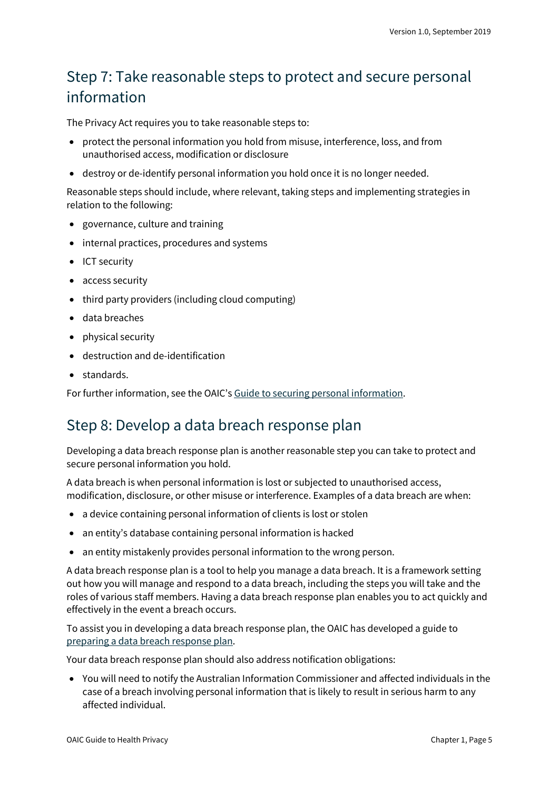#### <span id="page-4-0"></span>Step 7: Take reasonable steps to protect and secure personal information

The Privacy Act requires you to take reasonable steps to:

- protect the personal information you hold from misuse, interference, loss, and from unauthorised access, modification or disclosure
- destroy or de-identify personal information you hold once it is no longer needed.

Reasonable steps should include, where relevant, taking steps and implementing strategies in relation to the following:

- governance, culture and training
- internal practices, procedures and systems
- ICT security
- access security
- third party providers (including cloud computing)
- data breaches
- physical security
- destruction and de-identification
- standards.

For further information, see the OAIC'[s Guide to securing personal information.](https://oaic.gov.au/privacy/guidance-and-advice/guide-to-securing-personal-information/)

#### <span id="page-4-1"></span>Step 8: Develop a data breach response plan

Developing a data breach response plan is another reasonable step you can take to protect and secure personal information you hold.

A data breach is when personal information is lost or subjected to unauthorised access, modification, disclosure, or other misuse or interference. Examples of a data breach are when:

- a device containing personal information of clients is lost or stolen
- an entity's database containing personal information is hacked
- an entity mistakenly provides personal information to the wrong person.

A data breach response plan is a tool to help you manage a data breach. It is a framework setting out how you will manage and respond to a data breach, including the steps you will take and the roles of various staff members. Having a data breach response plan enables you to act quickly and effectively in the event a breach occurs.

To assist you in developing a data breach response plan, the OAIC has developed a guide to [preparing a data breach response plan.](https://www.oaic.gov.au/privacy/guidance-and-advice/data-breach-preparation-and-response/part-2-preparing-a-data-breach-response-plan/)

Your data breach response plan should also address notification obligations:

• You will need to notify the Australian Information Commissioner and affected individuals in the case of a breach involving personal information that is likely to result in serious harm to any affected individual.